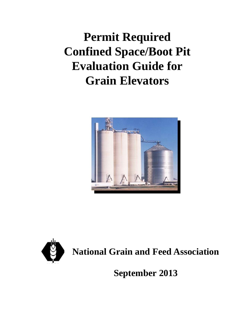# **Permit Required Confined Space/Boot Pit Evaluation Guide for Grain Elevators**





**September 2013**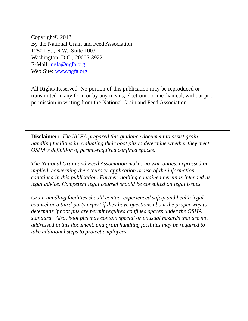Copyright© 2013 By the National Grain and Feed Association 1250 I St., N.W., Suite 1003 Washington, D.C., 20005-3922 E-Mail: ngfa@ngfa.org Web Site: www.ngfa.org

All Rights Reserved. No portion of this publication may be reproduced or transmitted in any form or by any means, electronic or mechanical, without prior permission in writing from the National Grain and Feed Association.

**Disclaimer:** *The NGFA prepared this guidance document to assist grain handling facilities in evaluating their boot pits to determine whether they meet OSHA's definition of permit-required confined spaces.* 

*The National Grain and Feed Association makes no warranties, expressed or implied, concerning the accuracy, application or use of the information contained in this publication. Further, nothing contained herein is intended as legal advice. Competent legal counsel should be consulted on legal issues.* 

*Grain handling facilities should contact experienced safety and health legal counsel or a third-party expert if they have questions about the proper way to determine if boot pits are permit required confined spaces under the OSHA standard. Also, boot pits may contain special or unusual hazards that are not addressed in this document, and grain handling facilities may be required to take additional steps to protect employees.*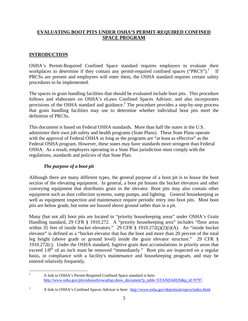# **EVALUATING BOOT PITS UNDER OSHA'S PERMIT-REQUIRED CONFINED SPACE PROGRAM**

# **INTRODUCTION**

OSHA's Permit-Required Confined Space standard requires employers to evaluate their workplaces to determine if they contain any permit-required confined spaces ("PRCS"). If PRCSs are present and employees will enter them, the OSHA standard requires certain safety procedures to be implemented.

The spaces in grain handling facilities that should be evaluated include boot pits. This procedure follows and elaborates on OSHA's eLaws Confined Spaces Advisor, and also incorporates provisions of the OSHA standard and guidance.<sup>2</sup> The procedure provides a step-by-step process that grain handling facilities may use to determine whether individual boot pits meet the definition of PRCSs.

This document is based on Federal OSHA standards. More than half the states in the U.S. administer their own job safety and health programs (State Plans). These State Plans operate with the approval of Federal OSHA so long as the programs are "at least as effective" as the Federal OSHA program. However, these states may have standards more stringent than Federal OSHA. As a result, employers operating in a State Plan jurisdiction must comply with the regulations, standards and policies of that State Plan.

# *The purpose of a boot pit*

Although there are many different types, the general purpose of a boot pit is to house the boot section of the elevating equipment. In general, a boot pit houses the bucket elevators and other conveying equipment that distributes grain in the elevator. Boot pits may also contain other equipment such as dust collection systems, sump pumps, and lighting. General housekeeping as well as equipment inspection and maintenance require periodic entry into boot pits. Most boot pits are below grade, but some are housed above ground rather than in a pit.

Many (but not all) boot pits are located in "priority housekeeping areas" under OSHA's Grain Handling standard, 29 CFR § 1910.272. A "priority housekeeping area" includes "floor areas within 35 feet of inside bucket elevators." 29 CFR § 1910.272(j)(2)(i)(A). An "inside bucket elevator" is defined as a "bucket elevator that has the boot and more than 20 percent of the total leg height (above grade or ground level) inside the grain elevator structure." 29 CFR § 1910.272(c). Under the OSHA standard, fugitive grain dust accumulations in priority areas that exceed  $1/8$ <sup>th</sup> of an inch must be removed "immediately." Boot pits are inspected on a regular basis, in compliance with a facility's maintenance and housekeeping program, and may be entered relatively frequently.

 $\frac{1}{1}$  A link to OSHA's Permit-Required Confined Space standard is here: http://www.osha.gov/pls/oshaweb/owadisp.show\_document?p\_table=STANDARDS&p\_id=9797.

<sup>2</sup> A link to OSHA's Confined Spaces Advisor is here: http://www.osha.gov/dep/etools/eprcs/index.html.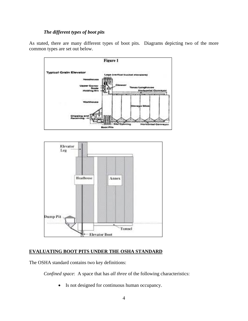#### *The different types of boot pits*

As stated, there are many different types of boot pits. Diagrams depicting two of the more common types are set out below.



## **EVALUATING BOOT PITS UNDER THE OSHA STANDARD**

The OSHA standard contains two key definitions:

*Confined space*: A space that has *all three* of the following characteristics:

• Is not designed for continuous human occupancy.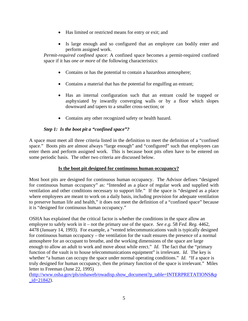- Has limited or restricted means for entry or exit; and
- Is large enough and so configured that an employee can bodily enter and perform assigned work.

*Permit-required confined space*: A confined space becomes a permit-required confined space if it has *one or more* of the following characteristics:

- Contains or has the potential to contain a hazardous atmosphere;
- Contains a material that has the potential for engulfing an entrant;
- Has an internal configuration such that an entrant could be trapped or asphyxiated by inwardly converging walls or by a floor which slopes downward and tapers to a smaller cross-section; or
- Contains any other recognized safety or health hazard.

## *Step 1: Is the boot pit a "confined space"?*

A space must meet all three criteria listed in the definition to meet the definition of a "confined space." Boots pits are almost always "large enough" and "configured" such that employees can enter them and perform assigned work. This is because boot pits often have to be entered on some periodic basis. The other two criteria are discussed below.

## **Is the boot pit designed for continuous human occupancy?**

Most boot pits are designed for continuous human occupancy. The Advisor defines "designed for continuous human occupancy" as: "Intended as a place of regular work and supplied with ventilation and other conditions necessary to support life." If the space is "designed as a place where employees are meant to work on a daily basis, including provision for adequate ventilation to preserve human life and health," it does not meet the definition of a "confined space" because it is "designed for continuous human occupancy."

OSHA has explained that the critical factor is whether the conditions in the space allow an employee to safely work in it – not the primary use of the space. *See e.g.* 58 *Fed. Reg.* 4462, 4478 (January 14, 1993). For example, a "vented telecommunications vault is typically designed for continuous human occupancy – the ventilation for the vault ensures the presence of a normal atmosphere for an occupant to breathe, and the working dimensions of the space are large enough to allow an adult to work and move about while erect." *Id*. The fact that the "primary" function of the vault is to house telecommunications equipment" is irrelevant. *Id*. The key is whether "a human can occupy the space under normal operating conditions." *Id.* "If a space is truly designed for human occupancy, then the primary function of the space is irrelevant." Miles letter to Freeman (June 22, 1995)

(http://www.osha.gov/pls/oshaweb/owadisp.show\_document?p\_table=INTERPRETATIONS&p  $id = 21842$ .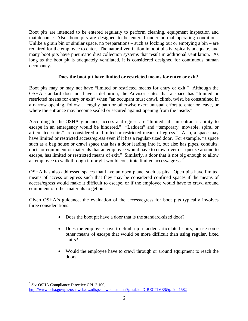Boot pits are intended to be entered regularly to perform cleaning, equipment inspection and maintenance. Also, boot pits are designed to be entered under normal operating conditions. Unlike a grain bin or similar space, no preparations  $-$  such as locking out or emptying a bin  $-$  are required for the employee to enter. The natural ventilation in boot pits is typically adequate, and many boot pits have pneumatic dust collection systems that result in additional ventilation. As long as the boot pit is adequately ventilated, it is considered designed for continuous human occupancy.

## **Does the boot pit have limited or restricted means for entry or exit?**

Boot pits may or may not have "limited or restricted means for entry or exit." Although the OSHA standard does not have a definition, the Advisor states that a space has "limited or restricted means for entry or exit" when "an occupant must crawl, climb, twist, be constrained in a narrow opening, follow a lengthy path or otherwise exert unusual effort to enter or leave, or where the entrance may become sealed or secured against opening from the inside."

According to the OSHA guidance, access and egress are "limited" if "an entrant's ability to escape in an emergency would be hindered." "Ladders" and "temporary, movable, spiral or articulated stairs" are considered a "limited or restricted means of egress." Also, a space may have limited or restricted access/egress even if it has a regular-sized door. For example, "a space such as a bag house or crawl space that has a door leading into it, but also has pipes, conduits, ducts or equipment or materials that an employee would have to crawl over or squeeze around to escape, has limited or restricted means of exit." Similarly, a door that is not big enough to allow an employee to walk through it upright would constitute limited access/egress.<sup>3</sup>

OSHA has also addressed spaces that have an open plane, such as pits. Open pits have limited means of access or egress such that they may be considered confined spaces if the means of access/egress would make it difficult to escape, or if the employee would have to crawl around equipment or other materials to get out.

Given OSHA's guidance, the evaluation of the access/egress for boot pits typically involves three considerations:

- Does the boot pit have a door that is the standard-sized door?
- Does the employee have to climb up a ladder, articulated stairs, or use some other means of escape that would be more difficult than using regular, fixed stairs?
- Would the employee have to crawl through or around equipment to reach the door?

 $\overline{a}$ <sup>3</sup> *See* OSHA Compliance Directive CPL 2.100,

http://www.osha.gov/pls/oshaweb/owadisp.show\_document?p\_table=DIRECTIVES&p\_id=1582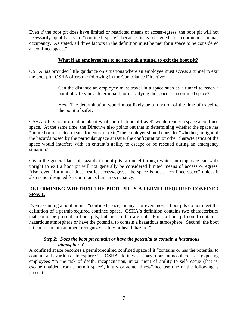Even if the boot pit does have limited or restricted means of access/egress, the boot pit will not necessarily qualify as a "confined space" because it is designed for continuous human occupancy. As stated, all three factors in the definition must be met for a space to be considered a "confined space."

#### **What if an employee has to go through a tunnel to exit the boot pit?**

OSHA has provided little guidance on situations where an employee must access a tunnel to exit the boot pit. OSHA offers the following in the Compliance Directive:

> Can the distance an employee must travel in a space such as a tunnel to reach a point of safety be a determinant for classifying the space as a confined space?

> Yes. The determination would most likely be a function of the time of travel to the point of safety.

OSHA offers no information about what sort of "time of travel" would render a space a confined space. At the same time, the Directive also points out that in determining whether the space has "limited or restricted means for entry or exit," the employer should consider "whether, in light of the hazards posed by the particular space at issue, the configuration or other characteristics of the space would interfere with an entrant's ability to escape or be rescued during an emergency situation."

Given the general lack of hazards in boot pits, a tunnel through which an employee can walk upright to exit a boot pit will not generally be considered limited means of access or egress. Also, even if a tunnel does restrict access/egress, the space is not a "confined space" unless it also is not designed for continuous human occupancy.

## **DETERMINING WHETHER THE BOOT PIT IS A PERMIT-REQUIRED CONFINED SPACE**

Even assuming a boot pit is a "confined space," many – or even most – boot pits do not meet the definition of a permit-required confined space. OSHA's definition contains two characteristics that could be present in boot pits, but most often are not. First, a boot pit could contain a hazardous atmosphere or have the potential to contain a hazardous atmosphere. Second, the boot pit could contain another "recognized safety or health hazard."

#### *Step 2: Does the boot pit contain or have the potential to contain a hazardous atmosphere?*

A confined space becomes a permit-required confined space if it "contains or has the potential to contain a hazardous atmosphere." OSHA defines a "hazardous atmosphere" as exposing employees "to the risk of death, incapacitation, impairment of ability to self-rescue (that is, escape unaided from a permit space), injury or acute illness" because one of the following is present: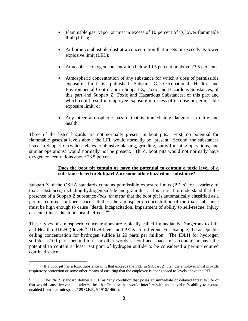- Flammable gas, vapor or mist in excess of 10 percent of its lower flammable limit (LFL);
- Airborne combustible dust at a concentration that meets or exceeds its lower explosive limit (LEL);
- Atmospheric oxygen concentration below 19.5 percent or above 23.5 percent;
- Atmospheric concentration of any substance for which a dose of permissible exposure limit is published Subpart G, Occupational Health and Environmental Control, or in Subpart Z, Toxic and Hazardous Substances, of this part and Subpart Z, Toxic and Hazardous Substances, of this part and which could result in employee exposure in excess of its dose or permissible exposure limit; or
- Any other atmospheric hazard that is immediately dangerous to life and health.

Three of the listed hazards are not normally present in boot pits. First, no potential for flammable gases at levels above the LFL would normally be present. Second, the substances listed in Subpart G (which relates to abrasive blasting, grinding, spray finishing operations, and similar operations) would normally not be present. Third, boot pits would not normally have oxygen concentrations above 23.5 percent.

## **Does the boot pit contain or have the potential to contain a toxic level of a substance listed in Subpart Z or some other hazardous substance?**

Subpart Z of the OSHA standards contains permissible exposure limits (PELs) for a variety of toxic substances, including hydrogen sulfide and grain dust. It is critical to understand that the presence of a Subpart Z substance *does not mean* that the boot pit is automatically classified as a permit-required confined space. Rather, the atmospheric concentration of the toxic substance must be high enough to cause "death, incapacitation, impairment of ability to self-rescue, injury or acute illness due to its health effects."4

These types of atmospheric concentrations are typically called Immediately Dangerous to Life and Health ("IDLH") levels.<sup>5</sup> IDLH levels and PELs are different. For example, the acceptable ceiling concentration for hydrogen sulfide is 20 parts per million. The IDLH for hydrogen sulfide is 100 parts per million. In other words, a confined space must contain or have the potential to contain at least 100 ppm of hydrogen sulfide to be considered a permit-required confined space.

 $\overline{a}$ 4 If a boot pit has a toxic substance in it that exceeds the PEL in Subpart Z, then the employer must provide respiratory protection or some other means of ensuring that the employee is not exposed to levels above the PEL.

<sup>5</sup> The PRCS standard defines IDLH as "any condition that poses an immediate or delayed threat to life or that would cause irreversible adverse health effects or that would interfere with an individual's ability to escape unaided from a permit space." 29 C.F.R. § 1910.146(b).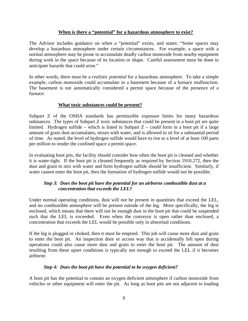#### **When is there a "potential" for a hazardous atmosphere to exist?**

The Advisor includes guidance on when a "potential" exists, and states: "Some spaces may develop a hazardous atmosphere under certain circumstances. For example, a space with a normal atmosphere may be prone to accumulate deadly carbon monoxide from nearby equipment during work in the space because of its location or shape. Careful assessment must be done to anticipate hazards that could arise."

In other words, there must be a *realistic potential* for a hazardous atmosphere. To take a simple example, carbon monoxide could accumulate in a basement because of a furnace malfunction. The basement is not automatically considered a permit space because of the presence of a furnace.

#### **What toxic substances could be present?**

Subpart Z of the OSHA standards has permissible exposure limits for many hazardous substances. The types of Subpart Z toxic substances that could be present in a boot pit are quite limited. Hydrogen sulfide – which is listed in Subpart  $Z$  – could form in a boot pit if a large amount of grain dust accumulates, mixes with water, and is allowed to sit for a substantial period of time. As stated, the level of hydrogen sulfide would have to rise to a level of at least 100 parts per million to render the confined space a permit space.

In evaluating boot pits, the facility should consider how often the boot pit is cleaned and whether it is water-tight. If the boot pit is cleaned frequently as required by Section 1910.272, then the dust and grain to mix with water and form hydrogen sulfide should be insufficient. Similarly, if water cannot enter the boot pit, then the formation of hydrogen sulfide would not be possible.

## *Step 3: Does the boot pit have the potential for an airborne combustible dust at a concentration that exceeds the LEL?*

Under normal operating conditions, dust will not be present in quantities that exceed the LEL, and no combustible atmosphere will be present outside of the leg. More specifically, the leg is enclosed, which means that there will not be enough dust in the boot pit that could be suspended such that the LEL is exceeded. Even when the conveyor is open rather than enclosed, a concentration that exceeds the LEL would be possible only in abnormal conditions.

If the leg is plugged or choked, then it must be emptied. This job will cause more dust and grain to enter the boot pit. An inspection door or access way that is accidentally left open during operations could also cause more dust and grain to enter the boot pit. The amount of dust resulting from these upset conditions is typically not enough to exceed the LEL if it becomes airborne.

#### *Step 4: Does the boot pit have the potential to be oxygen deficient?*

A boot pit has the potential to contain an oxygen deficient atmosphere if carbon monoxide from vehicles or other equipment will enter the pit. As long as boot pits are not adjacent to loading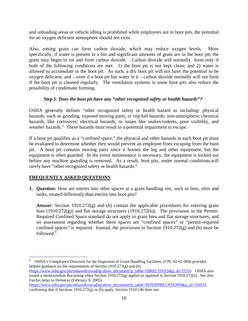and unloading areas or vehicle idling is prohibited while employees are in boot pits, the potential for an oxygen deficient atmosphere should not exist.

Also, rotting grain can form carbon dioxide, which may reduce oxygen levels. More specifically, if water is present in a bin and significant amounts of grain are in the boot pit, the grain may begin to rot and form carbon dioxide. Carbon dioxide will normally form only if both of the following conditions are met: 1) the boot pit is not kept clean; and 2) water is allowed to accumulate in the boot pit. As such, a dry boot pit will not have the potential to be oxygen deficient, and – even if a boot pit has water in it – carbon dioxide normally will not form if the boot pit is cleaned regularly. The ventilation systems in some boot pits also reduce the possibility of condensate forming.

## *Step 5*: *Does the boot pit have any "other recognized safety or health hazards"?*

OSHA generally defines "other recognized safety or health hazard as including: physical hazards, such as grinding, exposed moving parts, or trip/fall hazards; non-atmospheric chemical hazards, like corrosives; electrical hazards; or issues like snakes/rodents, poor visibility, and weather hazards." These hazards must result in a potential impairment to escape.

If a boot pit qualifies as a "confined space," the physical and other hazards in each boot pit must be evaluated to determine whether they would prevent an employee from escaping from the boot pit. A boot pit contains moving parts since it houses the leg and other equipment, but the equipment is often guarded. In the event maintenance is necessary, the equipment is locked out before any machine guarding is removed. As a result, boot pits, under normal conditions,will rarely have "other recognized safety or health hazards."

## **FREQUENTLY ASKED QUESTIONS**

**1.** *Question:* How are entries into other spaces at a grain handling site, such as bins, silos and tanks, treated differently than entries into boot pits?

*Answer*: Section 1910.272(g) and (h) contain the applicable procedures for entering grain bins (1910.272 $(g)$ ) and flat storage structures (1910.272 $(h)$ ). The provisions in the Permit-Required Confined Space standard do not apply to grain bins and flat storage structures, and no assessment regarding whether these spaces are "confined spaces" or "permit-required confined spaces" is required. Instead, the provisions in Section 1910.272(g) and (h) must be followed.<sup>6</sup>

 $\overline{a}$ 6 OSHA's Compliance Directive for the Inspection of Grain Handling Facilities, (CPL 02-01-004) provides helpful guidance on the requirements of Section 1910.272(g) and (h).

<sup>(</sup>https://www.osha.gov/pls/oshaweb/owadisp.show\_document?p\_table=DIRECTIVES&p\_id=1535). OSHA also issued a memorandum discussing when Section 1910.272(g) applies as opposed to Section 1910.272(h). See also Fairfax letter to Demaray (February 9, 2005)

<sup>(</sup>https://www.osha.gov/pls/oshaweb/owadisp.show\_document?p\_table=INTERPRETATIONS&p\_id=25055) confirming that if Sections 1910.272(g) or (h) apply, Section 1910.146 does not.